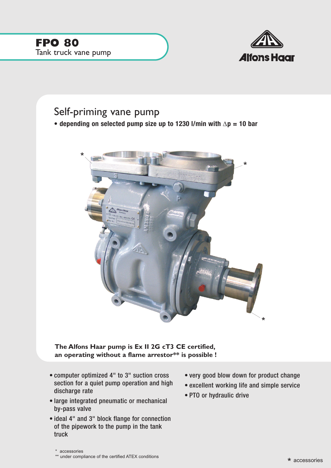

## Self-priming vane pump

**• depending on selected pump size up to 1230 l/min with** ∆**p = 10 bar**



**The Alfons Haar pump is Ex II 2G cT3 CE certified, an operating without a flame arrestor\*\* is possible !**

- computer optimized 4" to 3" suction cross section for a quiet pump operation and high discharge rate
- large integrated pneumatic or mechanical by-pass valve
- ideal 4" and 3" block flange for connection of the pipework to the pump in the tank truck
- very good blow down for product change
- excellent working life and simple service
- PTO or hydraulic drive